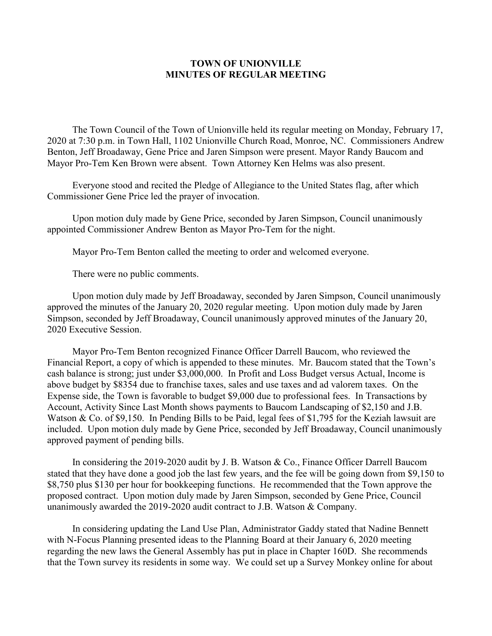## **TOWN OF UNIONVILLE MINUTES OF REGULAR MEETING**

The Town Council of the Town of Unionville held its regular meeting on Monday, February 17, 2020 at 7:30 p.m. in Town Hall, 1102 Unionville Church Road, Monroe, NC. Commissioners Andrew Benton, Jeff Broadaway, Gene Price and Jaren Simpson were present. Mayor Randy Baucom and Mayor Pro-Tem Ken Brown were absent. Town Attorney Ken Helms was also present.

Everyone stood and recited the Pledge of Allegiance to the United States flag, after which Commissioner Gene Price led the prayer of invocation.

Upon motion duly made by Gene Price, seconded by Jaren Simpson, Council unanimously appointed Commissioner Andrew Benton as Mayor Pro-Tem for the night.

Mayor Pro-Tem Benton called the meeting to order and welcomed everyone.

There were no public comments.

Upon motion duly made by Jeff Broadaway, seconded by Jaren Simpson, Council unanimously approved the minutes of the January 20, 2020 regular meeting. Upon motion duly made by Jaren Simpson, seconded by Jeff Broadaway, Council unanimously approved minutes of the January 20, 2020 Executive Session.

Mayor Pro-Tem Benton recognized Finance Officer Darrell Baucom, who reviewed the Financial Report, a copy of which is appended to these minutes. Mr. Baucom stated that the Town's cash balance is strong; just under \$3,000,000. In Profit and Loss Budget versus Actual, Income is above budget by \$8354 due to franchise taxes, sales and use taxes and ad valorem taxes. On the Expense side, the Town is favorable to budget \$9,000 due to professional fees. In Transactions by Account, Activity Since Last Month shows payments to Baucom Landscaping of \$2,150 and J.B. Watson & Co. of \$9,150. In Pending Bills to be Paid, legal fees of \$1,795 for the Keziah lawsuit are included. Upon motion duly made by Gene Price, seconded by Jeff Broadaway, Council unanimously approved payment of pending bills.

In considering the 2019-2020 audit by J. B. Watson & Co., Finance Officer Darrell Baucom stated that they have done a good job the last few years, and the fee will be going down from \$9,150 to \$8,750 plus \$130 per hour for bookkeeping functions. He recommended that the Town approve the proposed contract. Upon motion duly made by Jaren Simpson, seconded by Gene Price, Council unanimously awarded the 2019-2020 audit contract to J.B. Watson & Company.

In considering updating the Land Use Plan, Administrator Gaddy stated that Nadine Bennett with N-Focus Planning presented ideas to the Planning Board at their January 6, 2020 meeting regarding the new laws the General Assembly has put in place in Chapter 160D. She recommends that the Town survey its residents in some way. We could set up a Survey Monkey online for about